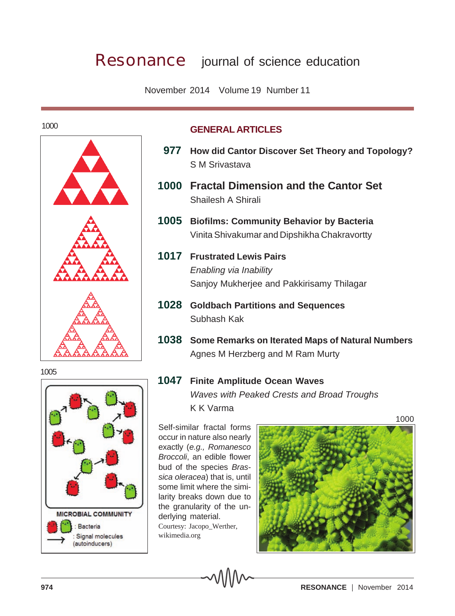## **Resonance** journal of science education

November 2014 Volume 19 Number 11

1000



## **GENERAL ARTICLES**

- **977 How did Cantor Discover Set Theory and Topology?** S M Srivastava
- **1000 Fractal Dimension and the Cantor Set** Shailesh A Shirali
- **1005 Biofilms: Community Behavior by Bacteria** Vinita Shivakumar and Dipshikha Chakravortty
- **1017 Frustrated Lewis Pairs** *Enabling via Inability* Sanjoy Mukherjee and Pakkirisamy Thilagar
- **1028 Goldbach Partitions and Sequences** Subhash Kak
- **1038 Some Remarks on Iterated Maps of Natural Numbers** Agnes M Herzberg and M Ram Murty

## **1047 Finite Amplitude Ocean Waves**

*Waves with Peaked Crests and Broad Troughs* K K Varma

Self-similar fractal forms occur in nature also nearly exactly (*e.g., Romanesco Broccoli*, an edible flower bud of the species *Brassica oleracea*) that is, until some limit where the similarity breaks down due to the granularity of the underlying material. Courtesy: Jacopo\_Werther, wikimedia.org





Signal molecules (autoinducers)